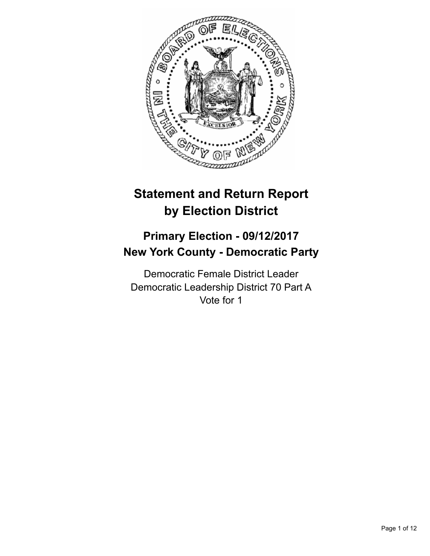

# **Statement and Return Report by Election District**

## **Primary Election - 09/12/2017 New York County - Democratic Party**

Democratic Female District Leader Democratic Leadership District 70 Part A Vote for 1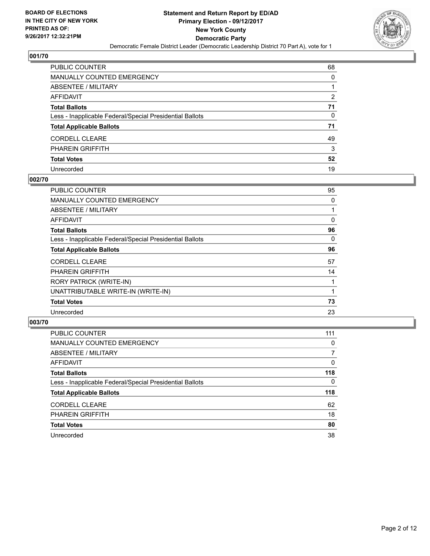

| PUBLIC COUNTER                                           | 68 |
|----------------------------------------------------------|----|
| <b>MANUALLY COUNTED EMERGENCY</b>                        | 0  |
| ABSENTEE / MILITARY                                      |    |
| AFFIDAVIT                                                | 2  |
| <b>Total Ballots</b>                                     | 71 |
| Less - Inapplicable Federal/Special Presidential Ballots | 0  |
| <b>Total Applicable Ballots</b>                          | 71 |
| <b>CORDELL CLEARE</b>                                    | 49 |
| PHAREIN GRIFFITH                                         | 3  |
| <b>Total Votes</b>                                       | 52 |
| Unrecorded                                               | 19 |

#### **002/70**

| <b>PUBLIC COUNTER</b>                                    | 95 |
|----------------------------------------------------------|----|
| <b>MANUALLY COUNTED EMERGENCY</b>                        | 0  |
| ABSENTEE / MILITARY                                      |    |
| AFFIDAVIT                                                | 0  |
| <b>Total Ballots</b>                                     | 96 |
| Less - Inapplicable Federal/Special Presidential Ballots | 0  |
| <b>Total Applicable Ballots</b>                          | 96 |
| <b>CORDELL CLEARE</b>                                    | 57 |
| <b>PHAREIN GRIFFITH</b>                                  | 14 |
| RORY PATRICK (WRITE-IN)                                  |    |
| UNATTRIBUTABLE WRITE-IN (WRITE-IN)                       |    |
| <b>Total Votes</b>                                       | 73 |
| Unrecorded                                               | 23 |

| <b>PUBLIC COUNTER</b>                                    | 111      |
|----------------------------------------------------------|----------|
| MANUALLY COUNTED EMERGENCY                               | 0        |
| ABSENTEE / MILITARY                                      | 7        |
| AFFIDAVIT                                                | 0        |
| <b>Total Ballots</b>                                     | 118      |
| Less - Inapplicable Federal/Special Presidential Ballots | $\Omega$ |
| <b>Total Applicable Ballots</b>                          | 118      |
| <b>CORDELL CLEARE</b>                                    | 62       |
| <b>PHAREIN GRIFFITH</b>                                  | 18       |
| <b>Total Votes</b>                                       | 80       |
| Unrecorded                                               | 38       |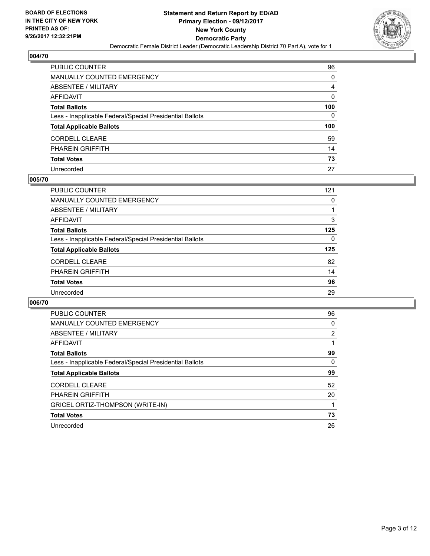

| PUBLIC COUNTER                                           | 96  |
|----------------------------------------------------------|-----|
| <b>MANUALLY COUNTED EMERGENCY</b>                        | 0   |
| ABSENTEE / MILITARY                                      | 4   |
| <b>AFFIDAVIT</b>                                         | 0   |
| <b>Total Ballots</b>                                     | 100 |
| Less - Inapplicable Federal/Special Presidential Ballots | 0   |
| <b>Total Applicable Ballots</b>                          | 100 |
| <b>CORDELL CLEARE</b>                                    | 59  |
| PHAREIN GRIFFITH                                         | 14  |
| <b>Total Votes</b>                                       | 73  |
| Unrecorded                                               | 27  |

#### **005/70**

| PUBLIC COUNTER                                           | 121 |
|----------------------------------------------------------|-----|
| <b>MANUALLY COUNTED EMERGENCY</b>                        | 0   |
| ABSENTEE / MILITARY                                      |     |
| AFFIDAVIT                                                | 3   |
| <b>Total Ballots</b>                                     | 125 |
| Less - Inapplicable Federal/Special Presidential Ballots | 0   |
| <b>Total Applicable Ballots</b>                          | 125 |
| <b>CORDELL CLEARE</b>                                    | 82  |
| <b>PHAREIN GRIFFITH</b>                                  | 14  |
| <b>Total Votes</b>                                       | 96  |
| Unrecorded                                               | 29  |

| <b>PUBLIC COUNTER</b>                                    | 96             |
|----------------------------------------------------------|----------------|
| MANUALLY COUNTED EMERGENCY                               | 0              |
| ABSENTEE / MILITARY                                      | $\overline{2}$ |
| AFFIDAVIT                                                |                |
| <b>Total Ballots</b>                                     | 99             |
| Less - Inapplicable Federal/Special Presidential Ballots | 0              |
| <b>Total Applicable Ballots</b>                          | 99             |
| <b>CORDELL CLEARE</b>                                    | 52             |
| <b>PHAREIN GRIFFITH</b>                                  | 20             |
| GRICEL ORTIZ-THOMPSON (WRITE-IN)                         |                |
| <b>Total Votes</b>                                       | 73             |
| Unrecorded                                               | 26             |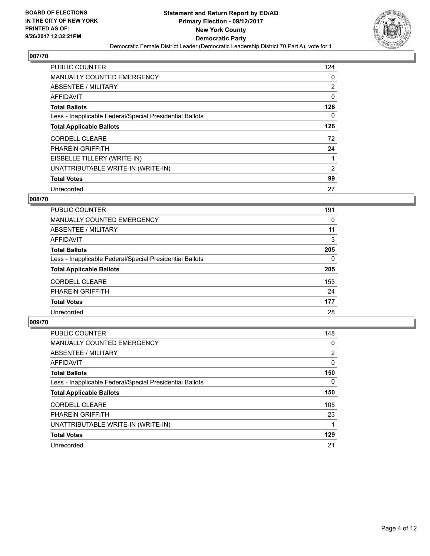

| <b>PUBLIC COUNTER</b>                                    | 124            |
|----------------------------------------------------------|----------------|
| <b>MANUALLY COUNTED EMERGENCY</b>                        | 0              |
| ABSENTEE / MILITARY                                      | $\overline{2}$ |
| AFFIDAVIT                                                | 0              |
| <b>Total Ballots</b>                                     | 126            |
| Less - Inapplicable Federal/Special Presidential Ballots | 0              |
| <b>Total Applicable Ballots</b>                          | 126            |
| <b>CORDELL CLEARE</b>                                    | 72             |
| <b>PHAREIN GRIFFITH</b>                                  | 24             |
| EISBELLE TILLERY (WRITE-IN)                              |                |
| UNATTRIBUTABLE WRITE-IN (WRITE-IN)                       | 2              |
| <b>Total Votes</b>                                       | 99             |
| Unrecorded                                               | 27             |

#### **008/70**

| <b>PUBLIC COUNTER</b>                                    | 191 |
|----------------------------------------------------------|-----|
| <b>MANUALLY COUNTED EMERGENCY</b>                        | 0   |
| ABSENTEE / MILITARY                                      | 11  |
| AFFIDAVIT                                                | 3   |
| <b>Total Ballots</b>                                     | 205 |
| Less - Inapplicable Federal/Special Presidential Ballots | 0   |
| <b>Total Applicable Ballots</b>                          | 205 |
| <b>CORDELL CLEARE</b>                                    | 153 |
| <b>PHAREIN GRIFFITH</b>                                  | 24  |
| <b>Total Votes</b>                                       | 177 |
| Unrecorded                                               | 28  |

| <b>PUBLIC COUNTER</b>                                    | 148 |
|----------------------------------------------------------|-----|
| <b>MANUALLY COUNTED EMERGENCY</b>                        | 0   |
| ABSENTEE / MILITARY                                      | 2   |
| <b>AFFIDAVIT</b>                                         | 0   |
| <b>Total Ballots</b>                                     | 150 |
| Less - Inapplicable Federal/Special Presidential Ballots | 0   |
| <b>Total Applicable Ballots</b>                          | 150 |
| <b>CORDELL CLEARE</b>                                    | 105 |
| <b>PHAREIN GRIFFITH</b>                                  | 23  |
| UNATTRIBUTABLE WRITE-IN (WRITE-IN)                       |     |
| <b>Total Votes</b>                                       | 129 |
| Unrecorded                                               | 21  |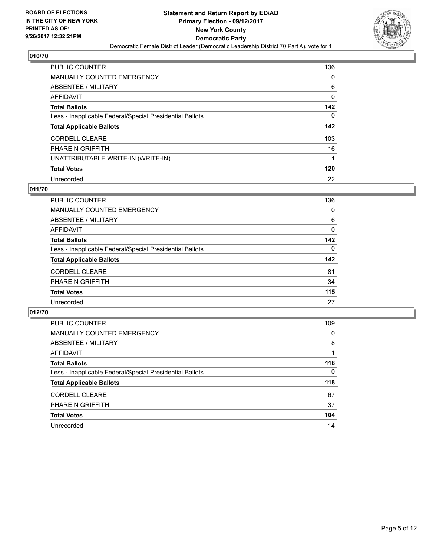

| PUBLIC COUNTER                                           | 136 |
|----------------------------------------------------------|-----|
| <b>MANUALLY COUNTED EMERGENCY</b>                        | 0   |
| ABSENTEE / MILITARY                                      | 6   |
| AFFIDAVIT                                                | 0   |
| <b>Total Ballots</b>                                     | 142 |
| Less - Inapplicable Federal/Special Presidential Ballots | 0   |
| <b>Total Applicable Ballots</b>                          | 142 |
| <b>CORDELL CLEARE</b>                                    | 103 |
| <b>PHAREIN GRIFFITH</b>                                  | 16  |
| UNATTRIBUTABLE WRITE-IN (WRITE-IN)                       |     |
| <b>Total Votes</b>                                       | 120 |
| Unrecorded                                               | 22  |

#### **011/70**

| <b>PUBLIC COUNTER</b>                                    | 136 |
|----------------------------------------------------------|-----|
| <b>MANUALLY COUNTED EMERGENCY</b>                        | 0   |
| ABSENTEE / MILITARY                                      | 6   |
| AFFIDAVIT                                                | 0   |
| <b>Total Ballots</b>                                     | 142 |
| Less - Inapplicable Federal/Special Presidential Ballots | 0   |
| <b>Total Applicable Ballots</b>                          | 142 |
| <b>CORDELL CLEARE</b>                                    | 81  |
| <b>PHAREIN GRIFFITH</b>                                  | 34  |
| <b>Total Votes</b>                                       | 115 |
| Unrecorded                                               | 27  |

| <b>PUBLIC COUNTER</b>                                    | 109 |
|----------------------------------------------------------|-----|
| MANUALLY COUNTED EMERGENCY                               | 0   |
| ABSENTEE / MILITARY                                      | 8   |
| AFFIDAVIT                                                |     |
| <b>Total Ballots</b>                                     | 118 |
| Less - Inapplicable Federal/Special Presidential Ballots | 0   |
| <b>Total Applicable Ballots</b>                          | 118 |
| <b>CORDELL CLEARE</b>                                    | 67  |
| <b>PHAREIN GRIFFITH</b>                                  | 37  |
| <b>Total Votes</b>                                       | 104 |
| Unrecorded                                               | 14  |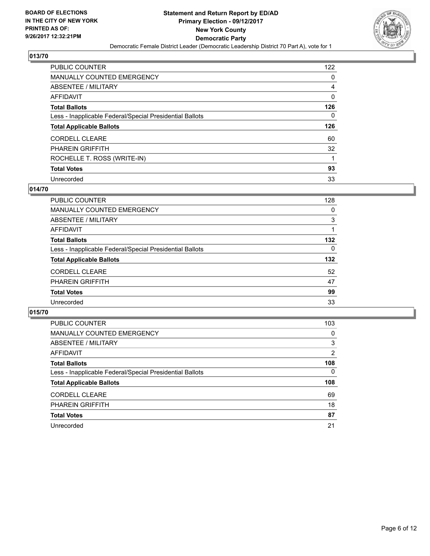

| <b>PUBLIC COUNTER</b>                                    | 122 |
|----------------------------------------------------------|-----|
| <b>MANUALLY COUNTED EMERGENCY</b>                        | 0   |
| ABSENTEE / MILITARY                                      | 4   |
| AFFIDAVIT                                                | 0   |
| <b>Total Ballots</b>                                     | 126 |
| Less - Inapplicable Federal/Special Presidential Ballots | 0   |
| <b>Total Applicable Ballots</b>                          | 126 |
|                                                          |     |
| <b>CORDELL CLEARE</b>                                    | 60  |
| <b>PHAREIN GRIFFITH</b>                                  | 32  |
| ROCHELLE T. ROSS (WRITE-IN)                              |     |
| <b>Total Votes</b>                                       | 93  |

#### **014/70**

| <b>PUBLIC COUNTER</b>                                    | 128      |
|----------------------------------------------------------|----------|
| <b>MANUALLY COUNTED EMERGENCY</b>                        | 0        |
| ABSENTEE / MILITARY                                      | 3        |
| AFFIDAVIT                                                |          |
| <b>Total Ballots</b>                                     | 132      |
| Less - Inapplicable Federal/Special Presidential Ballots | $\Omega$ |
| <b>Total Applicable Ballots</b>                          | 132      |
| <b>CORDELL CLEARE</b>                                    | 52       |
| <b>PHAREIN GRIFFITH</b>                                  | 47       |
| <b>Total Votes</b>                                       | 99       |
| Unrecorded                                               | 33       |

| <b>PUBLIC COUNTER</b>                                    | 103      |
|----------------------------------------------------------|----------|
| <b>MANUALLY COUNTED EMERGENCY</b>                        | 0        |
| ABSENTEE / MILITARY                                      | 3        |
| AFFIDAVIT                                                | 2        |
| <b>Total Ballots</b>                                     | 108      |
| Less - Inapplicable Federal/Special Presidential Ballots | $\Omega$ |
| <b>Total Applicable Ballots</b>                          | 108      |
| <b>CORDELL CLEARE</b>                                    | 69       |
| <b>PHAREIN GRIFFITH</b>                                  | 18       |
| <b>Total Votes</b>                                       | 87       |
| Unrecorded                                               | 21       |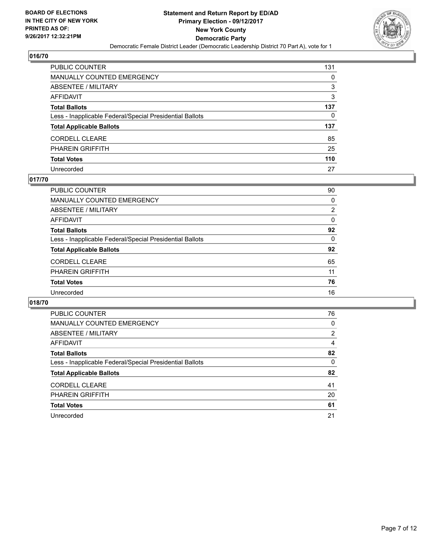

| PUBLIC COUNTER                                           | 131 |
|----------------------------------------------------------|-----|
| <b>MANUALLY COUNTED EMERGENCY</b>                        | 0   |
| <b>ABSENTEE / MILITARY</b>                               | 3   |
| <b>AFFIDAVIT</b>                                         | 3   |
| <b>Total Ballots</b>                                     | 137 |
| Less - Inapplicable Federal/Special Presidential Ballots | 0   |
| <b>Total Applicable Ballots</b>                          | 137 |
| <b>CORDELL CLEARE</b>                                    | 85  |
| <b>PHAREIN GRIFFITH</b>                                  | 25  |
| <b>Total Votes</b>                                       | 110 |
| Unrecorded                                               | 27  |

#### **017/70**

| PUBLIC COUNTER                                           | 90       |
|----------------------------------------------------------|----------|
| MANUALLY COUNTED EMERGENCY                               | 0        |
| ABSENTEE / MILITARY                                      | 2        |
| AFFIDAVIT                                                | $\Omega$ |
| <b>Total Ballots</b>                                     | 92       |
| Less - Inapplicable Federal/Special Presidential Ballots | 0        |
| <b>Total Applicable Ballots</b>                          | 92       |
| <b>CORDELL CLEARE</b>                                    | 65       |
| <b>PHAREIN GRIFFITH</b>                                  | 11       |
| <b>Total Votes</b>                                       | 76       |
| Unrecorded                                               | 16       |
|                                                          |          |

| <b>PUBLIC COUNTER</b>                                    | 76 |
|----------------------------------------------------------|----|
| MANUALLY COUNTED EMERGENCY                               | 0  |
| ABSENTEE / MILITARY                                      | 2  |
| AFFIDAVIT                                                | 4  |
| <b>Total Ballots</b>                                     | 82 |
| Less - Inapplicable Federal/Special Presidential Ballots | 0  |
| <b>Total Applicable Ballots</b>                          | 82 |
| <b>CORDELL CLEARE</b>                                    | 41 |
| <b>PHAREIN GRIFFITH</b>                                  | 20 |
| <b>Total Votes</b>                                       | 61 |
| Unrecorded                                               | 21 |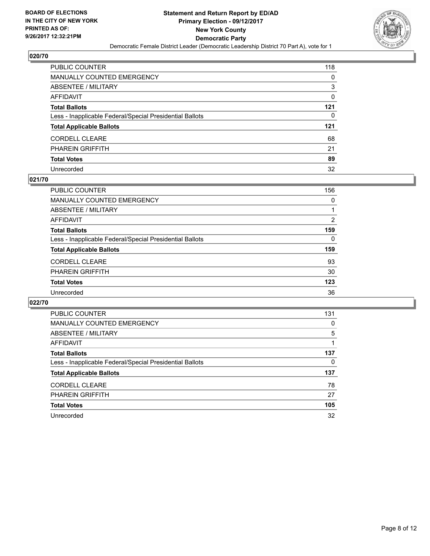

| PUBLIC COUNTER                                           | 118 |
|----------------------------------------------------------|-----|
| <b>MANUALLY COUNTED EMERGENCY</b>                        | 0   |
| <b>ABSENTEE / MILITARY</b>                               | 3   |
| <b>AFFIDAVIT</b>                                         | 0   |
| <b>Total Ballots</b>                                     | 121 |
| Less - Inapplicable Federal/Special Presidential Ballots | 0   |
| <b>Total Applicable Ballots</b>                          | 121 |
| <b>CORDELL CLEARE</b>                                    | 68  |
| <b>PHAREIN GRIFFITH</b>                                  | 21  |
| <b>Total Votes</b>                                       | 89  |
| Unrecorded                                               | 32  |

#### **021/70**

| PUBLIC COUNTER                                           | 156 |
|----------------------------------------------------------|-----|
| MANUALLY COUNTED EMERGENCY                               | 0   |
| ABSENTEE / MILITARY                                      |     |
| AFFIDAVIT                                                | 2   |
| <b>Total Ballots</b>                                     | 159 |
| Less - Inapplicable Federal/Special Presidential Ballots | 0   |
| <b>Total Applicable Ballots</b>                          | 159 |
| <b>CORDELL CLEARE</b>                                    | 93  |
| <b>PHAREIN GRIFFITH</b>                                  | 30  |
| <b>Total Votes</b>                                       | 123 |
| Unrecorded                                               | 36  |

| <b>PUBLIC COUNTER</b>                                    | 131 |
|----------------------------------------------------------|-----|
| MANUALLY COUNTED EMERGENCY                               | 0   |
| ABSENTEE / MILITARY                                      | 5   |
| AFFIDAVIT                                                |     |
| <b>Total Ballots</b>                                     | 137 |
| Less - Inapplicable Federal/Special Presidential Ballots | 0   |
| <b>Total Applicable Ballots</b>                          | 137 |
| <b>CORDELL CLEARE</b>                                    | 78  |
| <b>PHAREIN GRIFFITH</b>                                  | 27  |
| <b>Total Votes</b>                                       | 105 |
| Unrecorded                                               | 32  |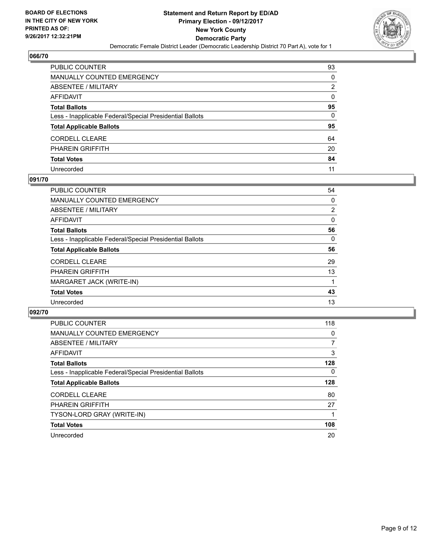

| PUBLIC COUNTER                                           | 93 |
|----------------------------------------------------------|----|
| <b>MANUALLY COUNTED EMERGENCY</b>                        | 0  |
| <b>ABSENTEE / MILITARY</b>                               | 2  |
| AFFIDAVIT                                                | 0  |
| <b>Total Ballots</b>                                     | 95 |
| Less - Inapplicable Federal/Special Presidential Ballots | 0  |
| <b>Total Applicable Ballots</b>                          | 95 |
| CORDELL CLEARE                                           | 64 |
| <b>PHAREIN GRIFFITH</b>                                  | 20 |
| <b>Total Votes</b>                                       | 84 |
| Unrecorded                                               | 11 |

#### **091/70**

| PUBLIC COUNTER                                           | 54             |
|----------------------------------------------------------|----------------|
| <b>MANUALLY COUNTED EMERGENCY</b>                        | 0              |
| ABSENTEE / MILITARY                                      | $\overline{2}$ |
| AFFIDAVIT                                                | 0              |
| <b>Total Ballots</b>                                     | 56             |
| Less - Inapplicable Federal/Special Presidential Ballots | 0              |
| <b>Total Applicable Ballots</b>                          | 56             |
| <b>CORDELL CLEARE</b>                                    | 29             |
| <b>PHAREIN GRIFFITH</b>                                  | 13             |
| MARGARET JACK (WRITE-IN)                                 |                |
| <b>Total Votes</b>                                       | 43             |
| Unrecorded                                               | 13             |

| <b>PUBLIC COUNTER</b>                                    | 118      |
|----------------------------------------------------------|----------|
| <b>MANUALLY COUNTED EMERGENCY</b>                        | 0        |
| <b>ABSENTEE / MILITARY</b>                               | 7        |
| <b>AFFIDAVIT</b>                                         | 3        |
| <b>Total Ballots</b>                                     | 128      |
| Less - Inapplicable Federal/Special Presidential Ballots | $\Omega$ |
| <b>Total Applicable Ballots</b>                          | 128      |
| <b>CORDELL CLEARE</b>                                    | 80       |
| <b>PHAREIN GRIFFITH</b>                                  | 27       |
| TYSON-LORD GRAY (WRITE-IN)                               |          |
| <b>Total Votes</b>                                       | 108      |
| Unrecorded                                               | 20       |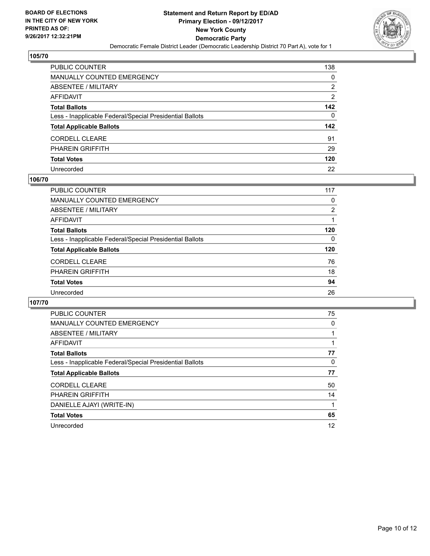

| PUBLIC COUNTER                                           | 138 |
|----------------------------------------------------------|-----|
| <b>MANUALLY COUNTED EMERGENCY</b>                        | 0   |
| <b>ABSENTEE / MILITARY</b>                               | 2   |
| <b>AFFIDAVIT</b>                                         | 2   |
| <b>Total Ballots</b>                                     | 142 |
| Less - Inapplicable Federal/Special Presidential Ballots | 0   |
| <b>Total Applicable Ballots</b>                          | 142 |
| <b>CORDELL CLEARE</b>                                    | 91  |
| <b>PHAREIN GRIFFITH</b>                                  | 29  |
| <b>Total Votes</b>                                       | 120 |
| Unrecorded                                               | 22  |

#### **106/70**

| <b>PUBLIC COUNTER</b>                                    | 117 |
|----------------------------------------------------------|-----|
| MANUALLY COUNTED EMERGENCY                               | 0   |
| ABSENTEE / MILITARY                                      | 2   |
| AFFIDAVIT                                                |     |
| <b>Total Ballots</b>                                     | 120 |
| Less - Inapplicable Federal/Special Presidential Ballots | 0   |
| <b>Total Applicable Ballots</b>                          | 120 |
| <b>CORDELL CLEARE</b>                                    | 76  |
| <b>PHAREIN GRIFFITH</b>                                  | 18  |
| <b>Total Votes</b>                                       | 94  |
| Unrecorded                                               | 26  |
|                                                          |     |

| <b>PUBLIC COUNTER</b>                                    | 75 |
|----------------------------------------------------------|----|
| <b>MANUALLY COUNTED EMERGENCY</b>                        | 0  |
| ABSENTEE / MILITARY                                      |    |
| AFFIDAVIT                                                |    |
| <b>Total Ballots</b>                                     | 77 |
| Less - Inapplicable Federal/Special Presidential Ballots | 0  |
| <b>Total Applicable Ballots</b>                          | 77 |
| <b>CORDELL CLEARE</b>                                    | 50 |
| <b>PHAREIN GRIFFITH</b>                                  | 14 |
| DANIELLE AJAYI (WRITE-IN)                                |    |
| <b>Total Votes</b>                                       | 65 |
| Unrecorded                                               | 12 |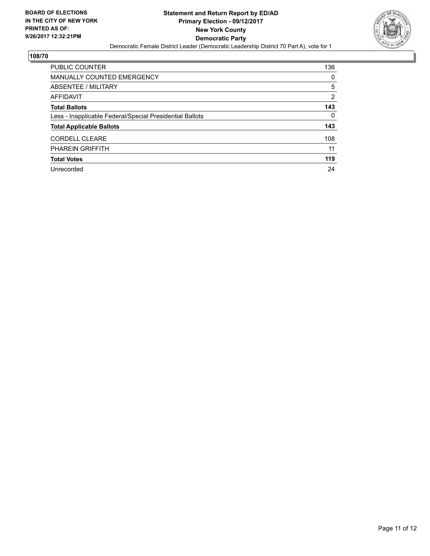

| <b>PUBLIC COUNTER</b>                                    | 136 |
|----------------------------------------------------------|-----|
| <b>MANUALLY COUNTED EMERGENCY</b>                        | 0   |
| ABSENTEE / MILITARY                                      | 5   |
| AFFIDAVIT                                                | 2   |
| <b>Total Ballots</b>                                     | 143 |
| Less - Inapplicable Federal/Special Presidential Ballots | 0   |
| <b>Total Applicable Ballots</b>                          | 143 |
| <b>CORDELL CLEARE</b>                                    | 108 |
| <b>PHAREIN GRIFFITH</b>                                  | 11  |
| <b>Total Votes</b>                                       | 119 |
| Unrecorded                                               | 24  |